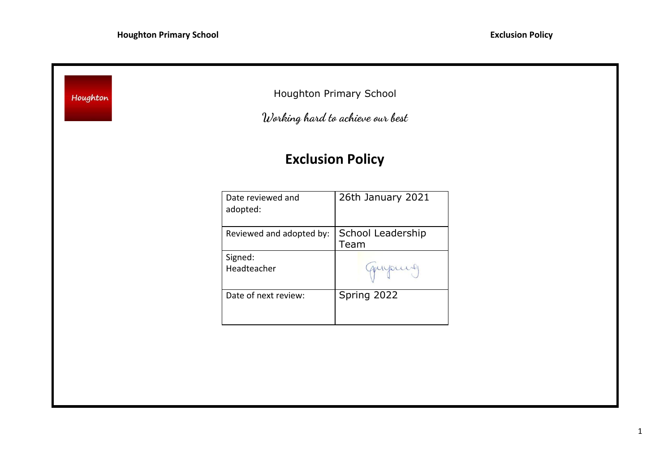| Houghton Primary School<br>Houghton<br>Working hard to achieve our best |                           |
|-------------------------------------------------------------------------|---------------------------|
|                                                                         | <b>Exclusion Policy</b>   |
| Date reviewed and<br>adopted:                                           | 26th January 2021         |
| Reviewed and adopted by:                                                | School Leadership<br>Team |
| Signed:<br>Headteacher                                                  | Guyoung                   |
| Date of next review:                                                    | Spring 2022               |
|                                                                         |                           |
|                                                                         |                           |
|                                                                         |                           |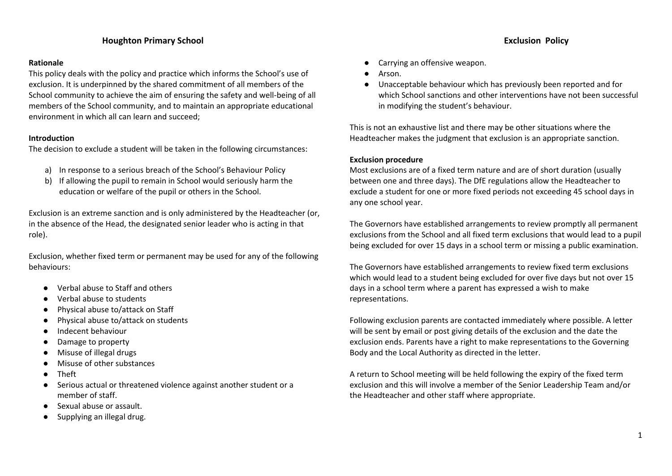# **Houghton Primary School Exclusion Policy**

### **Rationale**

This policy deals with the policy and practice which informs the School's use of exclusion. It is underpinned by the shared commitment of all members of the School community to achieve the aim of ensuring the safety and well-being of all members of the School community, and to maintain an appropriate educational environment in which all can learn and succeed;

## **Introduction**

The decision to exclude a student will be taken in the following circumstances:

- a) In response to a serious breach of the School's Behaviour Policy
- b) If allowing the pupil to remain in School would seriously harm the education or welfare of the pupil or others in the School.

Exclusion is an extreme sanction and is only administered by the Headteacher (or, in the absence of the Head, the designated senior leader who is acting in that role).

Exclusion, whether fixed term or permanent may be used for any of the following behaviours:

- Verbal abuse to Staff and others
- Verbal abuse to students
- Physical abuse to/attack on Staff
- Physical abuse to/attack on students
- Indecent behaviour
- Damage to property
- Misuse of illegal drugs
- Misuse of other substances
- **Theft**
- Serious actual or threatened violence against another student or a member of staff.
- Sexual abuse or assault.
- Supplying an illegal drug.

- Carrying an offensive weapon.
- Arson.
- Unacceptable behaviour which has previously been reported and for which School sanctions and other interventions have not been successful in modifying the student's behaviour.

This is not an exhaustive list and there may be other situations where the Headteacher makes the judgment that exclusion is an appropriate sanction.

## **Exclusion procedure**

Most exclusions are of a fixed term nature and are of short duration (usually between one and three days). The DfE regulations allow the Headteacher to exclude a student for one or more fixed periods not exceeding 45 school days in any one school year.

The Governors have established arrangements to review promptly all permanent exclusions from the School and all fixed term exclusions that would lead to a pupil being excluded for over 15 days in a school term or missing a public examination.

The Governors have established arrangements to review fixed term exclusions which would lead to a student being excluded for over five days but not over 15 days in a school term where a parent has expressed a wish to make representations.

Following exclusion parents are contacted immediately where possible. A letter will be sent by email or post giving details of the exclusion and the date the exclusion ends. Parents have a right to make representations to the Governing Body and the Local Authority as directed in the letter.

A return to School meeting will be held following the expiry of the fixed term exclusion and this will involve a member of the Senior Leadership Team and/or the Headteacher and other staff where appropriate.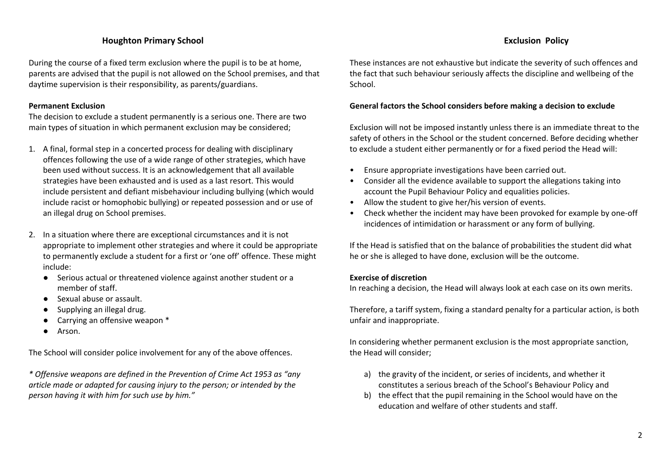# **Houghton Primary School Exclusion Policy**

During the course of a fixed term exclusion where the pupil is to be at home, parents are advised that the pupil is not allowed on the School premises, and that daytime supervision is their responsibility, as parents/guardians.

## **Permanent Exclusion**

The decision to exclude a student permanently is a serious one. There are two main types of situation in which permanent exclusion may be considered;

- 1. A final, formal step in a concerted process for dealing with disciplinary offences following the use of a wide range of other strategies, which have been used without success. It is an acknowledgement that all available strategies have been exhausted and is used as a last resort. This would include persistent and defiant misbehaviour including bullying (which would include racist or homophobic bullying) or repeated possession and or use of an illegal drug on School premises.
- 2. In a situation where there are exceptional circumstances and it is not appropriate to implement other strategies and where it could be appropriate to permanently exclude a student for a first or 'one off' offence. These might include:
	- Serious actual or threatened violence against another student or a member of staff.
	- Sexual abuse or assault.
	- Supplying an illegal drug.
	- Carrying an offensive weapon \*
	- Arson.

The School will consider police involvement for any of the above offences.

*\* Offensive weapons are defined in the Prevention of Crime Act 1953 as "any article made or adapted for causing injury to the person; or intended by the person having it with him for such use by him."*

These instances are not exhaustive but indicate the severity of such offences and the fact that such behaviour seriously affects the discipline and wellbeing of the School.

## **General factors the School considers before making a decision to exclude**

Exclusion will not be imposed instantly unless there is an immediate threat to the safety of others in the School or the student concerned. Before deciding whether to exclude a student either permanently or for a fixed period the Head will:

- Ensure appropriate investigations have been carried out.
- Consider all the evidence available to support the allegations taking into account the Pupil Behaviour Policy and equalities policies.
- Allow the student to give her/his version of events.
- Check whether the incident may have been provoked for example by one-off incidences of intimidation or harassment or any form of bullying.

If the Head is satisfied that on the balance of probabilities the student did what he or she is alleged to have done, exclusion will be the outcome.

### **Exercise of discretion**

In reaching a decision, the Head will always look at each case on its own merits.

Therefore, a tariff system, fixing a standard penalty for a particular action, is both unfair and inappropriate.

In considering whether permanent exclusion is the most appropriate sanction, the Head will consider;

- a) the gravity of the incident, or series of incidents, and whether it constitutes a serious breach of the School's Behaviour Policy and
- b) the effect that the pupil remaining in the School would have on the education and welfare of other students and staff.